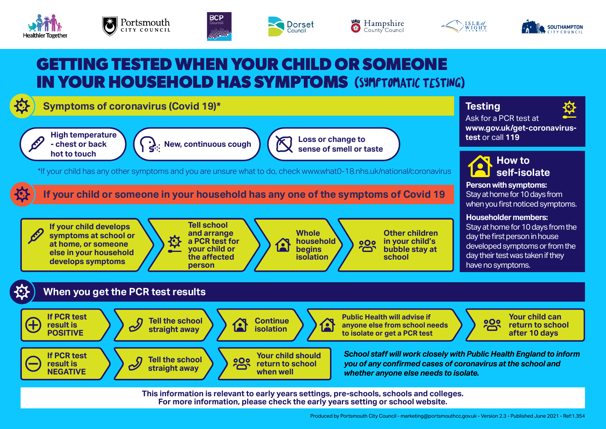











## **GETTING TESTED WHEN YOUR CHILD OR SOMEONE IN YOUR HOUSEHOLD HAS SYMPTOMS** (SYMPTOMATIC TESTING)

### **Symptoms of coronavirus (Covid 19)\***





**New, continuous cough Loss or change to sense of smell or taste**

\*If your child has any other symptoms and you are unsure what to do, check [www.what0-18.nhs.uk/national/coronavirus](https://what0-18.nhs.uk/national/coronavirus)

#### **If your child or someone in your household has any one of the symptoms of Covid 19**



#### **When you get the PCR test results**



**This information is relevant to early years settings, pre-schools, schools and colleges. For more information, please check the early years setting or school website.** 

# **Testing**

Ask for a PCR test at **[www.gov.uk/get-coronavirus](http://www.gov.uk/get-coronavirus-test)[test](http://www.gov.uk/get-coronavirus-test)** or call **119**

**How to self-isolate**

**Person with symptoms:** Stay at home for 10 days from when you first noticed symptoms.

**Householder members:** Stay at home for 10 days from the day the first person in house developed symptoms or from the day their test was taken if they have no symptoms.